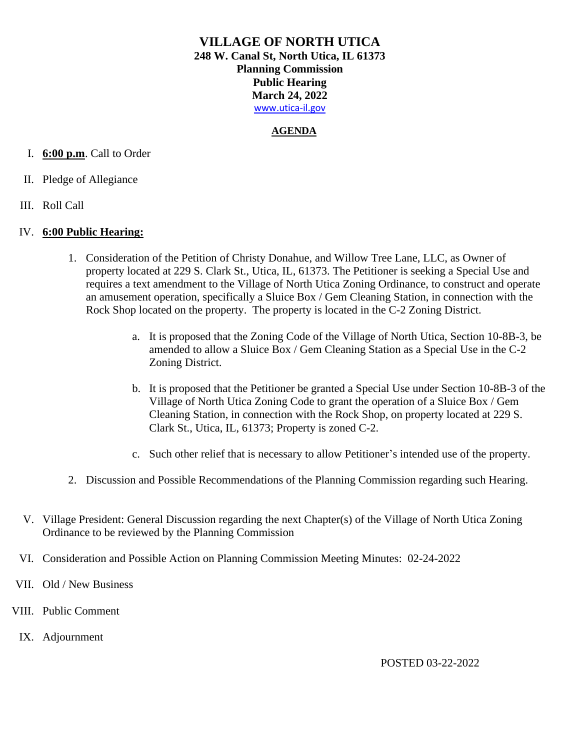## **AGENDA**

## I. **6:00 p.m**. Call to Order

- II. Pledge of Allegiance
- III. Roll Call

#### IV. **6:00 Public Hearing:**

- 1. Consideration of the Petition of Christy Donahue, and Willow Tree Lane, LLC, as Owner of property located at 229 S. Clark St., Utica, IL, 61373. The Petitioner is seeking a Special Use and requires a text amendment to the Village of North Utica Zoning Ordinance, to construct and operate an amusement operation, specifically a Sluice Box / Gem Cleaning Station, in connection with the Rock Shop located on the property. The property is located in the C-2 Zoning District.
	- a. It is proposed that the Zoning Code of the Village of North Utica, Section 10-8B-3, be amended to allow a Sluice Box / Gem Cleaning Station as a Special Use in the C-2 Zoning District.
	- b. It is proposed that the Petitioner be granted a Special Use under Section 10-8B-3 of the Village of North Utica Zoning Code to grant the operation of a Sluice Box / Gem Cleaning Station, in connection with the Rock Shop, on property located at 229 S. Clark St., Utica, IL, 61373; Property is zoned C-2.
	- c. Such other relief that is necessary to allow Petitioner's intended use of the property.
- 2. Discussion and Possible Recommendations of the Planning Commission regarding such Hearing.
- V. Village President: General Discussion regarding the next Chapter(s) of the Village of North Utica Zoning Ordinance to be reviewed by the Planning Commission
- VI. Consideration and Possible Action on Planning Commission Meeting Minutes: 02-24-2022
- VII. Old / New Business
- VIII. Public Comment
	- IX. Adjournment

POSTED 03-22-2022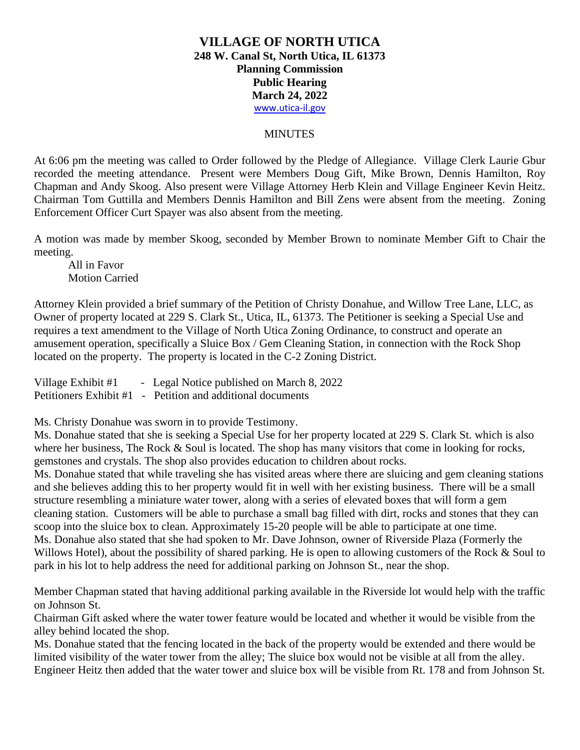#### **MINUTES**

At 6:06 pm the meeting was called to Order followed by the Pledge of Allegiance. Village Clerk Laurie Gbur recorded the meeting attendance. Present were Members Doug Gift, Mike Brown, Dennis Hamilton, Roy Chapman and Andy Skoog. Also present were Village Attorney Herb Klein and Village Engineer Kevin Heitz. Chairman Tom Guttilla and Members Dennis Hamilton and Bill Zens were absent from the meeting. Zoning Enforcement Officer Curt Spayer was also absent from the meeting.

A motion was made by member Skoog, seconded by Member Brown to nominate Member Gift to Chair the meeting.

All in Favor Motion Carried

Attorney Klein provided a brief summary of the Petition of Christy Donahue, and Willow Tree Lane, LLC, as Owner of property located at 229 S. Clark St., Utica, IL, 61373. The Petitioner is seeking a Special Use and requires a text amendment to the Village of North Utica Zoning Ordinance, to construct and operate an amusement operation, specifically a Sluice Box / Gem Cleaning Station, in connection with the Rock Shop located on the property. The property is located in the C-2 Zoning District.

Village Exhibit #1 - Legal Notice published on March 8, 2022 Petitioners Exhibit #1 - Petition and additional documents

Ms. Christy Donahue was sworn in to provide Testimony.

Ms. Donahue stated that she is seeking a Special Use for her property located at 229 S. Clark St. which is also where her business, The Rock & Soul is located. The shop has many visitors that come in looking for rocks, gemstones and crystals. The shop also provides education to children about rocks.

Ms. Donahue stated that while traveling she has visited areas where there are sluicing and gem cleaning stations and she believes adding this to her property would fit in well with her existing business. There will be a small structure resembling a miniature water tower, along with a series of elevated boxes that will form a gem cleaning station. Customers will be able to purchase a small bag filled with dirt, rocks and stones that they can scoop into the sluice box to clean. Approximately 15-20 people will be able to participate at one time. Ms. Donahue also stated that she had spoken to Mr. Dave Johnson, owner of Riverside Plaza (Formerly the Willows Hotel), about the possibility of shared parking. He is open to allowing customers of the Rock & Soul to park in his lot to help address the need for additional parking on Johnson St., near the shop.

Member Chapman stated that having additional parking available in the Riverside lot would help with the traffic on Johnson St.

Chairman Gift asked where the water tower feature would be located and whether it would be visible from the alley behind located the shop.

Ms. Donahue stated that the fencing located in the back of the property would be extended and there would be limited visibility of the water tower from the alley; The sluice box would not be visible at all from the alley. Engineer Heitz then added that the water tower and sluice box will be visible from Rt. 178 and from Johnson St.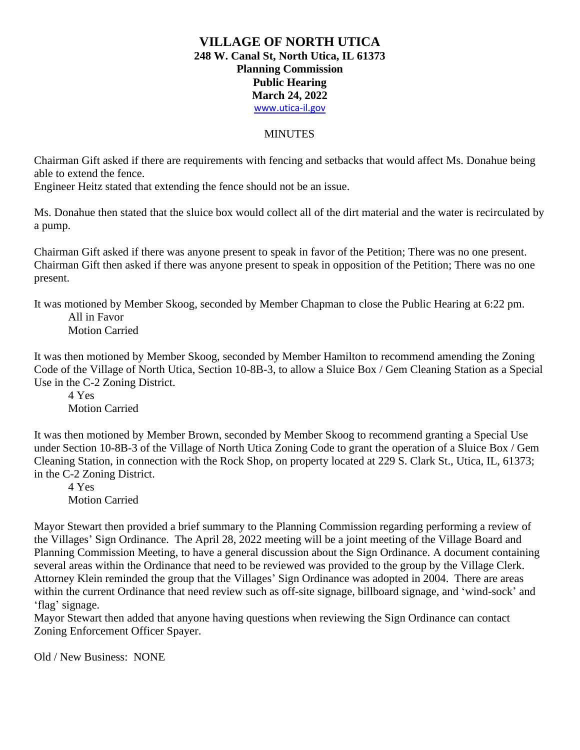# **MINUTES**

Chairman Gift asked if there are requirements with fencing and setbacks that would affect Ms. Donahue being able to extend the fence.

Engineer Heitz stated that extending the fence should not be an issue.

Ms. Donahue then stated that the sluice box would collect all of the dirt material and the water is recirculated by a pump.

Chairman Gift asked if there was anyone present to speak in favor of the Petition; There was no one present. Chairman Gift then asked if there was anyone present to speak in opposition of the Petition; There was no one present.

It was motioned by Member Skoog, seconded by Member Chapman to close the Public Hearing at 6:22 pm. All in Favor

Motion Carried

It was then motioned by Member Skoog, seconded by Member Hamilton to recommend amending the Zoning Code of the Village of North Utica, Section 10-8B-3, to allow a Sluice Box / Gem Cleaning Station as a Special Use in the C-2 Zoning District.

4 Yes Motion Carried

It was then motioned by Member Brown, seconded by Member Skoog to recommend granting a Special Use under Section 10-8B-3 of the Village of North Utica Zoning Code to grant the operation of a Sluice Box / Gem Cleaning Station, in connection with the Rock Shop, on property located at 229 S. Clark St., Utica, IL, 61373; in the C-2 Zoning District.

4 Yes Motion Carried

Mayor Stewart then provided a brief summary to the Planning Commission regarding performing a review of the Villages' Sign Ordinance. The April 28, 2022 meeting will be a joint meeting of the Village Board and Planning Commission Meeting, to have a general discussion about the Sign Ordinance. A document containing several areas within the Ordinance that need to be reviewed was provided to the group by the Village Clerk. Attorney Klein reminded the group that the Villages' Sign Ordinance was adopted in 2004. There are areas within the current Ordinance that need review such as off-site signage, billboard signage, and 'wind-sock' and 'flag' signage.

Mayor Stewart then added that anyone having questions when reviewing the Sign Ordinance can contact Zoning Enforcement Officer Spayer.

Old / New Business: NONE